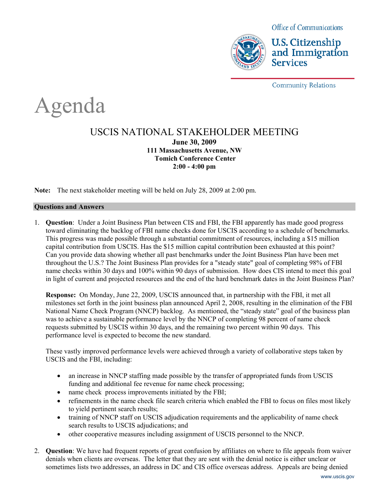

**U.S. Citizenship** and Immigration **Services** 

**Community Relations** 

# Agenda

## USCIS NATIONAL STAKEHOLDER MEETING **June 30, 2009 111 Massachusetts Avenue, NW Tomich Conference Center 2:00 - 4:00 pm**

**Note:** The next stakeholder meeting will be held on July 28, 2009 at 2:00 pm.

### **Questions and Answers**

1. **Question**: Under a Joint Business Plan between CIS and FBI, the FBI apparently has made good progress toward eliminating the backlog of FBI name checks done for USCIS according to a schedule of benchmarks. This progress was made possible through a substantial commitment of resources, including a \$15 million capital contribution from USCIS. Has the \$15 million capital contribution been exhausted at this point? Can you provide data showing whether all past benchmarks under the Joint Business Plan have been met throughout the U.S.? The Joint Business Plan provides for a "steady state" goal of completing 98% of FBI name checks within 30 days and 100% within 90 days of submission. How does CIS intend to meet this goal in light of current and projected resources and the end of the hard benchmark dates in the Joint Business Plan?

**Response:** On Monday, June 22, 2009, USCIS announced that, in partnership with the FBI, it met all milestones set forth in the joint business plan announced April 2, 2008, resulting in the elimination of the FBI National Name Check Program (NNCP) backlog. As mentioned, the "steady state" goal of the business plan was to achieve a sustainable performance level by the NNCP of completing 98 percent of name check requests submitted by USCIS within 30 days, and the remaining two percent within 90 days. This performance level is expected to become the new standard.

These vastly improved performance levels were achieved through a variety of collaborative steps taken by USCIS and the FBI, including:

- an increase in NNCP staffing made possible by the transfer of appropriated funds from USCIS funding and additional fee revenue for name check processing;
- name check process improvements initiated by the FBI;
- x refinements in the name check file search criteria which enabled the FBI to focus on files most likely to yield pertinent search results;
- training of NNCP staff on USCIS adjudication requirements and the applicability of name check search results to USCIS adjudications; and
- other cooperative measures including assignment of USCIS personnel to the NNCP.
- 2. **Question**: We have had frequent reports of great confusion by affiliates on where to file appeals from waiver denials when clients are overseas. The letter that they are sent with the denial notice is either unclear or sometimes lists two addresses, an address in DC and CIS office overseas address. Appeals are being denied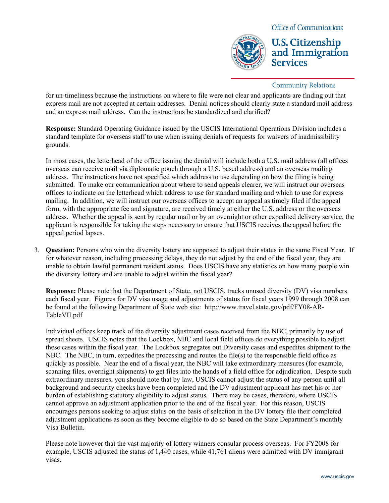**U.S. Citizenship** and Immigration **Services** 

### **Community Relations**

for un-timeliness because the instructions on where to file were not clear and applicants are finding out that express mail are not accepted at certain addresses. Denial notices should clearly state a standard mail address and an express mail address. Can the instructions be standardized and clarified?

**Response:** Standard Operating Guidance issued by the USCIS International Operations Division includes a standard template for overseas staff to use when issuing denials of requests for waivers of inadmissibility grounds.

In most cases, the letterhead of the office issuing the denial will include both a U.S. mail address (all offices overseas can receive mail via diplomatic pouch through a U.S. based address) and an overseas mailing address. The instructions have not specified which address to use depending on how the filing is being submitted. To make our communication about where to send appeals clearer, we will instruct our overseas offices to indicate on the letterhead which address to use for standard mailing and which to use for express mailing. In addition, we will instruct our overseas offices to accept an appeal as timely filed if the appeal form, with the appropriate fee and signature, are received timely at either the U.S. address or the overseas address. Whether the appeal is sent by regular mail or by an overnight or other expedited delivery service, the applicant is responsible for taking the steps necessary to ensure that USCIS receives the appeal before the appeal period lapses.

3. **Question:** Persons who win the diversity lottery are supposed to adjust their status in the same Fiscal Year. If for whatever reason, including processing delays, they do not adjust by the end of the fiscal year, they are unable to obtain lawful permanent resident status. Does USCIS have any statistics on how many people win the diversity lottery and are unable to adjust within the fiscal year?

**Response:** Please note that the Department of State, not USCIS, tracks unused diversity (DV) visa numbers each fiscal year. Figures for DV visa usage and adjustments of status for fiscal years 1999 through 2008 can be found at the following Department of State web site: http://www.travel.state.gov/pdf/FY08-AR-TableVII.pdf

Individual offices keep track of the diversity adjustment cases received from the NBC, primarily by use of spread sheets. USCIS notes that the Lockbox, NBC and local field offices do everything possible to adjust these cases within the fiscal year. The Lockbox segregates out Diversity cases and expedites shipment to the NBC. The NBC, in turn, expedites the processing and routes the file(s) to the responsible field office as quickly as possible. Near the end of a fiscal year, the NBC will take extraordinary measures (for example, scanning files, overnight shipments) to get files into the hands of a field office for adjudication. Despite such extraordinary measures, you should note that by law, USCIS cannot adjust the status of any person until all background and security checks have been completed and the DV adjustment applicant has met his or her burden of establishing statutory eligibility to adjust status. There may be cases, therefore, where USCIS cannot approve an adjustment application prior to the end of the fiscal year. For this reason, USCIS encourages persons seeking to adjust status on the basis of selection in the DV lottery file their completed adjustment applications as soon as they become eligible to do so based on the State Department's monthly Visa Bulletin.

Please note however that the vast majority of lottery winners consular process overseas. For FY2008 for example, USCIS adjusted the status of 1,440 cases, while 41,761 aliens were admitted with DV immigrant visas.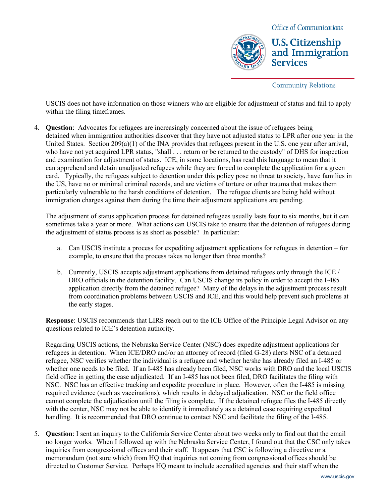

**U.S. Citizenship** and Immigration **Services** 

**Community Relations** 

USCIS does not have information on those winners who are eligible for adjustment of status and fail to apply within the filing timeframes.

4. **Question**: Advocates for refugees are increasingly concerned about the issue of refugees being detained when immigration authorities discover that they have not adjusted status to LPR after one year in the United States. Section 209(a)(1) of the INA provides that refugees present in the U.S. one year after arrival, who have not yet acquired LPR status, "shall . . . return or be returned to the custody" of DHS for inspection and examination for adjustment of status. ICE, in some locations, has read this language to mean that it can apprehend and detain unadjusted refugees while they are forced to complete the application for a green card. Typically, the refugees subject to detention under this policy pose no threat to society, have families in the US, have no or minimal criminal records, and are victims of torture or other trauma that makes them particularly vulnerable to the harsh conditions of detention. The refugee clients are being held without immigration charges against them during the time their adjustment applications are pending.

The adjustment of status application process for detained refugees usually lasts four to six months, but it can sometimes take a year or more. What actions can USCIS take to ensure that the detention of refugees during the adjustment of status process is as short as possible? In particular:

- a. Can USCIS institute a process for expediting adjustment applications for refugees in detention for example, to ensure that the process takes no longer than three months?
- b. Currently, USCIS accepts adjustment applications from detained refugees only through the ICE / DRO officials in the detention facility. Can USCIS change its policy in order to accept the I-485 application directly from the detained refugee? Many of the delays in the adjustment process result from coordination problems between USCIS and ICE, and this would help prevent such problems at the early stages.

**Response**: USCIS recommends that LIRS reach out to the ICE Office of the Principle Legal Advisor on any questions related to ICE's detention authority.

Regarding USCIS actions, the Nebraska Service Center (NSC) does expedite adjustment applications for refugees in detention. When ICE/DRO and/or an attorney of record (filed G-28) alerts NSC of a detained refugee, NSC verifies whether the individual is a refugee and whether he/she has already filed an I-485 or whether one needs to be filed. If an I-485 has already been filed, NSC works with DRO and the local USCIS field office in getting the case adjudicated. If an I-485 has not been filed, DRO facilitates the filing with NSC. NSC has an effective tracking and expedite procedure in place. However, often the I-485 is missing required evidence (such as vaccinations), which results in delayed adjudication. NSC or the field office cannot complete the adjudication until the filing is complete. If the detained refugee files the I-485 directly with the center, NSC may not be able to identify it immediately as a detained case requiring expedited handling. It is recommended that DRO continue to contact NSC and facilitate the filing of the I-485.

5. **Question**: I sent an inquiry to the California Service Center about two weeks only to find out that the email no longer works. When I followed up with the Nebraska Service Center, I found out that the CSC only takes inquiries from congressional offices and their staff. It appears that CSC is following a directive or a memorandum (not sure which) from HQ that inquiries not coming from congressional offices should be directed to Customer Service. Perhaps HQ meant to include accredited agencies and their staff when the